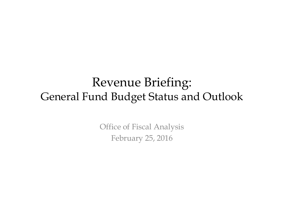#### Revenue Briefing: General Fund Budget Status and Outlook

Office of Fiscal Analysis February 25, 2016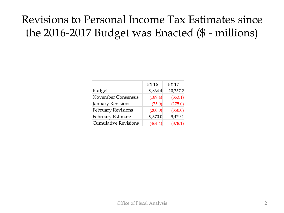#### Revisions to Personal Income Tax Estimates since the 2016-2017 Budget was Enacted (\$ - millions)

|                             | <b>FY 16</b> | <b>FY17</b> |
|-----------------------------|--------------|-------------|
| <b>Budget</b>               | 9,834.4      | 10,357.2    |
| November Consensus          | (189.4)      | (353.1)     |
| <b>January Revisions</b>    | (75.0)       | (175.0)     |
| <b>February Revisions</b>   | (200.0)      | (350.0)     |
| February Estimate           | 9,370.0      | 9,479.1     |
| <b>Cumulative Revisions</b> | (464.4)      | (878.1)     |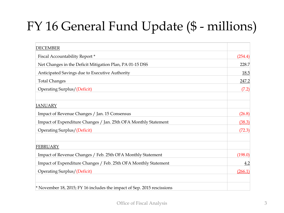# FY 16 General Fund Update (\$ - millions)

| <b>DECEMBER</b>                                                         |         |
|-------------------------------------------------------------------------|---------|
| Fiscal Accountability Report*                                           | (254.4) |
| Net Changes in the Deficit Mitigation Plan, PA 01-15 DSS                | 228.7   |
| Anticipated Savings due to Executive Authority                          | 18.5    |
| <b>Total Changes</b>                                                    | 247.2   |
| Operating Surplus/(Deficit)                                             | (7.2)   |
| <b>JANUARY</b>                                                          |         |
| Impact of Revenue Changes / Jan. 15 Consensus                           | (26.8)  |
| Impact of Expenditure Changes / Jan. 25th OFA Monthly Statement         | (38.3)  |
| Operating Surplus/(Deficit)                                             | (72.3)  |
| <b>FEBRUARY</b>                                                         |         |
| Impact of Revenue Changes / Feb. 25th OFA Monthly Statement             | (198.0) |
| Impact of Expenditure Changes / Feb. 25th OFA Monthly Statement         | 4.2     |
| <b>Operating Surplus/(Deficit)</b>                                      | (266.1) |
| * November 18, 2015; FY 16 includes the impact of Sep. 2015 rescissions |         |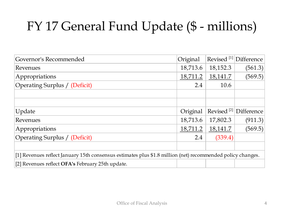# FY 17 General Fund Update (\$ - millions)

| Governor's Recommended                                                                                     | Original | Revised <sup>[1]</sup> | Difference |  |  |
|------------------------------------------------------------------------------------------------------------|----------|------------------------|------------|--|--|
| Revenues                                                                                                   | 18,713.6 | 18,152.3               | (561.3)    |  |  |
| Appropriations                                                                                             | 18,711.2 | 18,141.7               | (569.5)    |  |  |
| Operating Surplus / (Deficit)                                                                              | 2.4      | 10.6                   |            |  |  |
|                                                                                                            |          |                        |            |  |  |
|                                                                                                            |          |                        |            |  |  |
| Update                                                                                                     | Original | Revised <sup>[2]</sup> | Difference |  |  |
| Revenues                                                                                                   | 18,713.6 | 17,802.3               | (911.3)    |  |  |
| Appropriations                                                                                             | 18,711.2 | 18,141.7               | (569.5)    |  |  |
| Operating Surplus / (Deficit)                                                                              | 2.4      | (339.4)                |            |  |  |
|                                                                                                            |          |                        |            |  |  |
| [1] Revenues reflect January 15th consensus estimates plus \$1.8 million (net) recommended policy changes. |          |                        |            |  |  |
| [2] Revenues reflect OFA's February 25th update.                                                           |          |                        |            |  |  |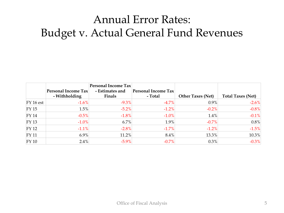#### Annual Error Rates: Budget v. Actual General Fund Revenues

|              | <b>Personal Income Tax</b> | Personal Income Tax<br>- Estimates and | Personal Income Tax |                          |                          |
|--------------|----------------------------|----------------------------------------|---------------------|--------------------------|--------------------------|
|              | - Withholding              | Finals                                 | - Total             | <b>Other Taxes (Net)</b> | <b>Total Taxes (Net)</b> |
| $FY$ 16 est  | $-1.6%$                    | $-9.3\%$                               | $-4.7%$             | $0.9\%$                  | $-2.6%$                  |
| $FY$ 15      | 1.5%                       | $-5.2\%$                               | $-1.2%$             | $-0.2\%$                 | $-0.8%$                  |
| <b>FY 14</b> | $-0.5\%$                   | $-1.8\%$                               | $-1.0\%$            | 1.4%                     | $-0.1%$                  |
| $FY$ 13      | $-1.0\%$                   | $6.7\%$                                | 1.9%                | $-0.7\%$                 | 0.8%                     |
| $FY$ 12      | $-1.1\%$                   | $-2.8\%$                               | $-1.7%$             | $-1.2\%$                 | $-1.5%$                  |
| $FY$ 11      | $6.9\%$                    | 11.2%                                  | $8.4\%$             | 13.3%                    | 10.3%                    |
| $FY$ 10      | $2.4\%$                    | $-5.9\%$                               | $-0.7\%$            | $0.3\%$                  | $-0.3%$                  |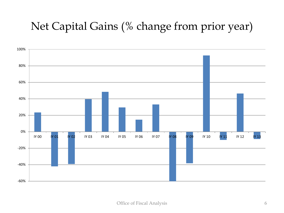#### Net Capital Gains (% change from prior year)

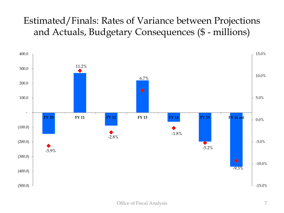#### Estimated/Finals: Rates of Variance between Projections and Actuals, Budgetary Consequences (\$ - millions)

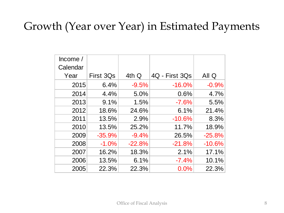#### Growth (Year over Year) in Estimated Payments

| Income $/$ |           |          |                |          |
|------------|-----------|----------|----------------|----------|
| Calendar   |           |          |                |          |
| Year       | First 3Qs | 4th Q    | 4Q - First 3Qs | All Q    |
| 2015       | 6.4%      | $-9.5%$  | $-16.0%$       | $-0.9%$  |
| 2014       | 4.4%      | 5.0%     | 0.6%           | 4.7%     |
| 2013       | 9.1%      | 1.5%     | $-7.6%$        | 5.5%     |
| 2012       | 18.6%     | 24.6%    | 6.1%           | 21.4%    |
| 2011       | 13.5%     | 2.9%     | $-10.6%$       | 8.3%     |
| 2010       | 13.5%     | 25.2%    | 11.7%          | 18.9%    |
| 2009       | $-35.9%$  | $-9.4%$  | 26.5%          | $-25.8%$ |
| 2008       | $-1.0%$   | $-22.8%$ | $-21.8%$       | $-10.6%$ |
| 2007       | 16.2%     | 18.3%    | 2.1%           | 17.1%    |
| 2006       | 13.5%     | 6.1%     | $-7.4%$        | 10.1%    |
| 2005       | 22.3%     | 22.3%    | 0.0%           | 22.3%    |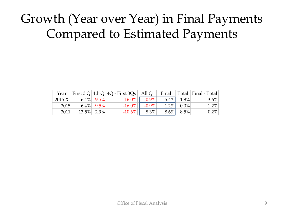### Growth (Year over Year) in Final Payments Compared to Estimated Payments

| Year   |                | First 3 Q 4th Q   4Q - First 3Qs   All Q   Final   Total   Final - Total |                    |                 |         |
|--------|----------------|--------------------------------------------------------------------------|--------------------|-----------------|---------|
| 2015 X | 6.4% - $9.5\%$ |                                                                          | $-16.0\%$ $-0.9\%$ | $5.4\%$ 1.8%    | $3.6\%$ |
| 2015   | $6.4\%$ -9.5%  |                                                                          | $-16.0\%$ $-0.9\%$ | $1.2\%$ 0.0%    | 1.2%    |
| 2011   | 13.5% 2.9%     |                                                                          | $-10.6\%$   8.3%   | $8.6\%$ $8.5\%$ | $0.2\%$ |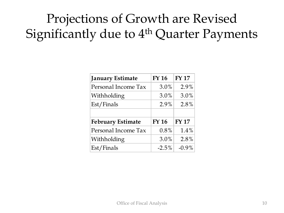## Projections of Growth are Revised Significantly due to 4<sup>th</sup> Quarter Payments

| <b>January Estimate</b>  | <b>FY 16</b> | <b>FY 17</b> |
|--------------------------|--------------|--------------|
| Personal Income Tax      | 3.0%         | 2.9%         |
| Withholding              | $3.0\%$      | 3.0%         |
| Est/Finals               | 2.9%         | 2.8%         |
|                          |              |              |
| <b>February Estimate</b> | <b>FY 16</b> | <b>FY17</b>  |
| Personal Income Tax      | 0.8%         | 1.4%         |
| Withholding              | 3.0%         | 2.8%         |
| Est/Finals               | $-2.5%$      | $-0.9\%$     |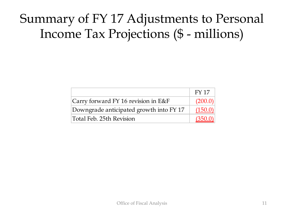### Summary of FY 17 Adjustments to Personal Income Tax Projections (\$ - millions)

|                                         | <b>FY 17</b> |
|-----------------------------------------|--------------|
| Carry forward FY 16 revision in E&F     | (200.0)      |
| Downgrade anticipated growth into FY 17 | (150.0)      |
| Total Feb. 25th Revision                | (350.0)      |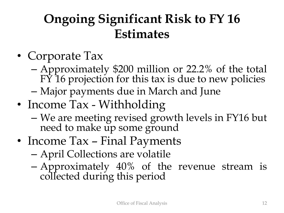### **Ongoing Significant Risk to FY 16 Estimates**

- Corporate Tax
	- Approximately \$200 million or 22.2% of the total FY 16 projection for this tax is due to new policies
	- Major payments due in March and June
- Income Tax Withholding
	- We are meeting revised growth levels in FY16 but need to make up some ground
- Income Tax Final Payments
	- April Collections are volatile
	- Approximately 40% of the revenue stream is collected during this period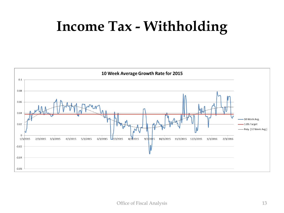# **Income Tax - Withholding**

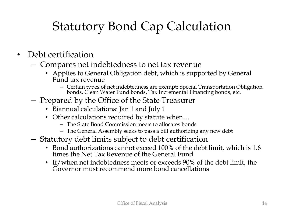## Statutory Bond Cap Calculation

- Debt certification
	- Compares net indebtedness to net tax revenue
		- Applies to General Obligation debt, which is supported by General Fund tax revenue
			- Certain types of net indebtedness are exempt: Special Transportation Obligation bonds, Clean Water Fund bonds, Tax Incremental Financing bonds, etc.
	- Prepared by the Office of the State Treasurer
		- Biannual calculations: Jan 1 and July 1
		- Other calculations required by statute when...
			- The State Bond Commission meets to allocates bonds
			- The General Assembly seeks to pass a bill authorizing any new debt
	- Statutory debt limits subject to debt certification
		- Bond authorizations cannot exceed 100% of the debt limit, which is 1.6 times the Net Tax Revenue of the General Fund
		- If/when net indebtedness meets or exceeds 90% of the debt limit, the Governor must recommend more bond cancellations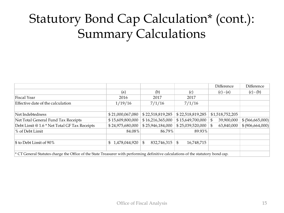## Statutory Bond Cap Calculation\* (cont.): Summary Calculations

|                                              |                                                                                                                                         |                    |                   | Difference      | Difference         |  |  |  |
|----------------------------------------------|-----------------------------------------------------------------------------------------------------------------------------------------|--------------------|-------------------|-----------------|--------------------|--|--|--|
|                                              | (a)                                                                                                                                     | (b)                | (c)               | $(c) - (a)$     | $(c) - (b)$        |  |  |  |
| <b>Fiscal Year</b>                           | 2016                                                                                                                                    | 2017               | 2017              |                 |                    |  |  |  |
| Effective date of the calculation            | 1/19/16                                                                                                                                 | 7/1/16             | 7/1/16            |                 |                    |  |  |  |
|                                              |                                                                                                                                         |                    |                   |                 |                    |  |  |  |
| Net Indebtedness                             | \$21,000,067,080                                                                                                                        | \$22,518,819,285   | \$22,518,819,285  | \$1,518,752,205 |                    |  |  |  |
| Net Total General Fund Tax Receipts          | \$15,609,800,000                                                                                                                        | \$16,216,365,000   | \$15,649,700,000  | 39,900,000      | \$ (566, 665, 000) |  |  |  |
| Debt Limit @ 1.6 * Net Total GF Tax Receipts | \$24,975,680,000                                                                                                                        | \$25,946,184,000   | \$25,039,520,000  | 63,840,000      | \$ (906, 664, 000) |  |  |  |
| % of Debt Limit                              | 84.08%                                                                                                                                  | 86.79%             | 89.93%            |                 |                    |  |  |  |
|                                              |                                                                                                                                         |                    |                   |                 |                    |  |  |  |
| $\$\$ to Debt Limit of 90%                   | \$1,478,044,920                                                                                                                         | 832,746,315<br>\$. | 16,748,715<br>\$. |                 |                    |  |  |  |
|                                              |                                                                                                                                         |                    |                   |                 |                    |  |  |  |
|                                              | $\star$ CT General Statutes charge the Office of the State Treasurer with performing definitive calculations of the statutory bond cap. |                    |                   |                 |                    |  |  |  |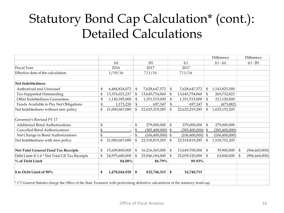### Statutory Bond Cap Calculation\* (cont.): Detailed Calculations

|                                                                                                                                   |              |                          |    |                |               |                    |               | Difference      |    | Difference      |
|-----------------------------------------------------------------------------------------------------------------------------------|--------------|--------------------------|----|----------------|---------------|--------------------|---------------|-----------------|----|-----------------|
|                                                                                                                                   |              | (a)                      |    | (b)            |               | (c)                |               | $(c) - (a)$     |    | $(c) - (b)$     |
| <b>Fiscal Year</b>                                                                                                                |              | 2016                     |    | 2017           |               | 2017               |               |                 |    |                 |
| Effective date of the calculation                                                                                                 |              | 1/19/16                  |    | 7/1/16         |               | 7/1/16             |               |                 |    |                 |
| Net Indebtedness                                                                                                                  |              |                          |    |                |               |                    |               |                 |    |                 |
| Authorized and Unissued                                                                                                           | \$           | 6,484,824,072            | \$ | 7,628,647,572  | \$            | 7,628,647,572      | \$            | 1,143,823,500   |    |                 |
| Tax Supported Outstanding                                                                                                         |              | 13,376,021,237           |    | 13,645,754,060 | \$            | 13,645,754,060     | \$            | 269,732,823     |    |                 |
| Other Indebtedness Guarantees                                                                                                     |              | 1,140,395,000            |    | 1,351,515,000  | \$            | 1,351,515,000      | \$            | 211,120,000     |    |                 |
| Funds Available to Pay Net Obligations                                                                                            | \$           | 1,173,230                |    | 697,347        | $\frac{6}{5}$ | 697,347            | $\frac{6}{2}$ | (475, 882)      |    |                 |
| Net Indebtedness without new policy                                                                                               | \$           | 21,000,067,080           |    | 22,625,219,285 | \$            | 22,625,219,285     | \$            | 1,625,152,205   |    |                 |
| Governor's Revised FY 17                                                                                                          |              |                          |    |                |               |                    |               |                 |    |                 |
| <b>Additional Bond Authorizations</b>                                                                                             | \$           | $\overline{\phantom{a}}$ | \$ | 279,000,000    | \$            | 279,000,000        | \$            | 279,000,000     |    |                 |
| Cancelled Bond Authorizations                                                                                                     | \$           |                          | \$ | (385,400,000)  | \$            | $(385,400,000)$ \$ |               | (385, 400, 000) |    |                 |
| Net Change in Bond Authorizations                                                                                                 | \$           |                          | \$ | (106,400,000)  | \$            | $(106,400,000)$ \$ |               | (106, 400, 000) |    |                 |
| Net Indebtedness with new policy                                                                                                  | $\mathbf{S}$ | 21,000,067,080           |    | 22,518,819,285 | \$            | 22,518,819,285     | \$            | 1,518,752,205   |    |                 |
| Net Total General Fund Tax Receipts                                                                                               |              | 15,609,800,000           |    | 16,216,365,000 | \$            | 15,649,700,000     | \$            | 39,900,000      | \$ | (566, 665, 000) |
| Debt Limit @ 1.6 * Net Total GF Tax Receipts                                                                                      |              | 24,975,680,000           |    | 25,946,184,000 | \$            | 25,039,520,000     | \$            | 63,840,000      | \$ | (906, 664, 000) |
| $\%$ of Debt Limit                                                                                                                |              | 84.08%                   |    | 86.79%         |               | 89.93%             |               |                 |    |                 |
| \$ to Debt Limit of 90%                                                                                                           | \$           | 1,478,044,920            | \$ | 832,746,315    | \$            | 16,748,715         |               |                 |    |                 |
| * CT General Statutes charge the Office of the State Treasurer with performing definitive calculations of the statutory bond cap. |              |                          |    |                |               |                    |               |                 |    |                 |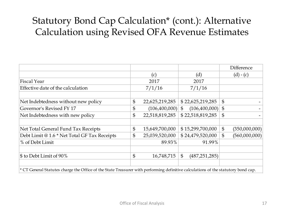#### Statutory Bond Cap Calculation\* (cont.): Alternative Calculation using Revised OFA Revenue Estimates

|                                                                                                                                     |                      |                                   |                | Difference    |
|-------------------------------------------------------------------------------------------------------------------------------------|----------------------|-----------------------------------|----------------|---------------|
|                                                                                                                                     | (c)                  | (d)                               |                | $(d) - (c)$   |
| <b>Fiscal Year</b>                                                                                                                  | 2017                 | 2017                              |                |               |
| Effective date of the calculation                                                                                                   | 7/1/16               | 7/1/16                            |                |               |
| Net Indebtedness without new policy                                                                                                 | \$<br>22,625,219,285 | \$22,625,219,285                  | $\mathfrak{S}$ |               |
| Governor's Revised FY 17                                                                                                            | \$<br>(106,400,000)  | (106,400,000)<br>$\mathfrak{S}$   | $\mathfrak{S}$ |               |
| Net Indebtedness with new policy                                                                                                    | \$<br>22,518,819,285 | \$22,518,819,285                  | $\mathfrak{S}$ |               |
| Net Total General Fund Tax Receipts                                                                                                 | \$<br>15,649,700,000 | \$15,299,700,000                  | $\mathfrak{S}$ | (350,000,000) |
| Debt Limit @ 1.6 * Net Total GF Tax Receipts                                                                                        | \$<br>25,039,520,000 | \$24,479,520,000                  | \$             | (560,000,000) |
| % of Debt Limit                                                                                                                     | 89.93%               | 91.99%                            |                |               |
| $\$\$ to Debt Limit of 90%                                                                                                          | \$<br>16,748,715     | $\mathfrak{S}$<br>(487, 251, 285) |                |               |
| $*$ CT General Statutes charge the Office of the State Treasurer with performing definitive calculations of the statutory bond cap. |                      |                                   |                |               |